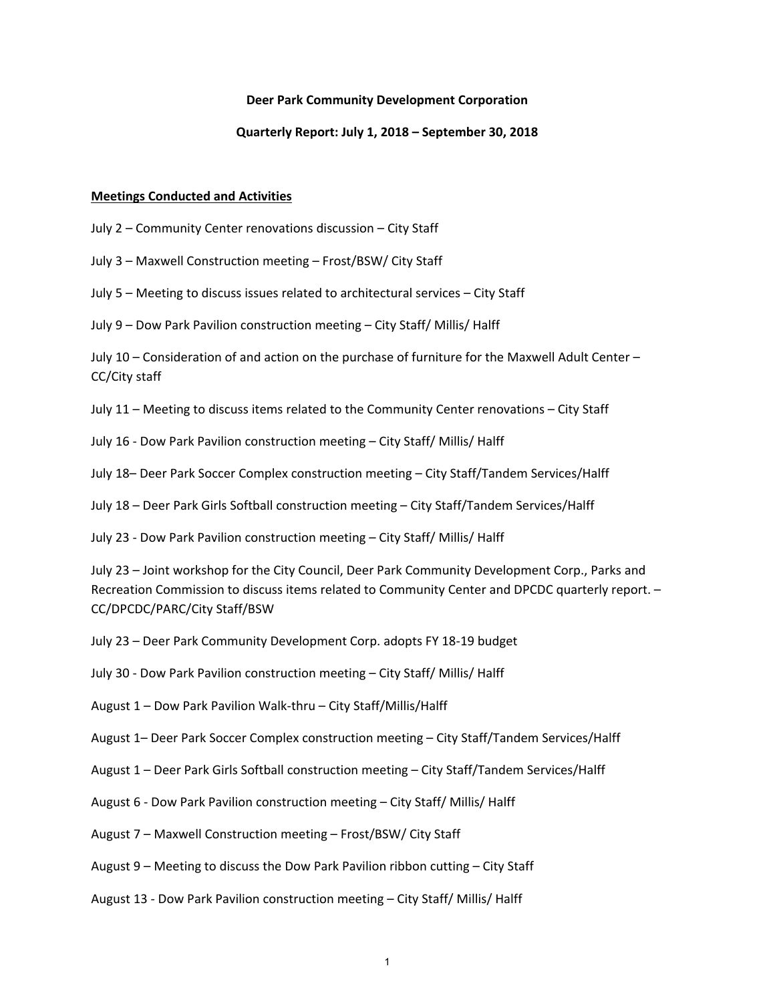#### **Deer Park Community Development Corporation**

#### **Quarterly Report: July 1, 2018 – September 30, 2018**

#### **Meetings Conducted and Activities**

- July 2 Community Center renovations discussion City Staff
- July 3 Maxwell Construction meeting Frost/BSW/ City Staff
- July 5 Meeting to discuss issues related to architectural services City Staff
- July 9 Dow Park Pavilion construction meeting City Staff/ Millis/ Halff

July 10 – Consideration of and action on the purchase of furniture for the Maxwell Adult Center – CC/City staff

- July 11 Meeting to discuss items related to the Community Center renovations City Staff
- July 16 ‐ Dow Park Pavilion construction meeting City Staff/ Millis/ Halff
- July 18– Deer Park Soccer Complex construction meeting City Staff/Tandem Services/Halff
- July 18 Deer Park Girls Softball construction meeting City Staff/Tandem Services/Halff
- July 23 ‐ Dow Park Pavilion construction meeting City Staff/ Millis/ Halff

July 23 – Joint workshop for the City Council, Deer Park Community Development Corp., Parks and Recreation Commission to discuss items related to Community Center and DPCDC quarterly report. – CC/DPCDC/PARC/City Staff/BSW

- July 23 Deer Park Community Development Corp. adopts FY 18‐19 budget
- July 30 ‐ Dow Park Pavilion construction meeting City Staff/ Millis/ Halff
- August 1 Dow Park Pavilion Walk‐thru City Staff/Millis/Halff
- August 1– Deer Park Soccer Complex construction meeting City Staff/Tandem Services/Halff
- August 1 Deer Park Girls Softball construction meeting City Staff/Tandem Services/Halff
- August 6 ‐ Dow Park Pavilion construction meeting City Staff/ Millis/ Halff
- August 7 Maxwell Construction meeting Frost/BSW/ City Staff
- August 9 Meeting to discuss the Dow Park Pavilion ribbon cutting City Staff
- August 13 ‐ Dow Park Pavilion construction meeting City Staff/ Millis/ Halff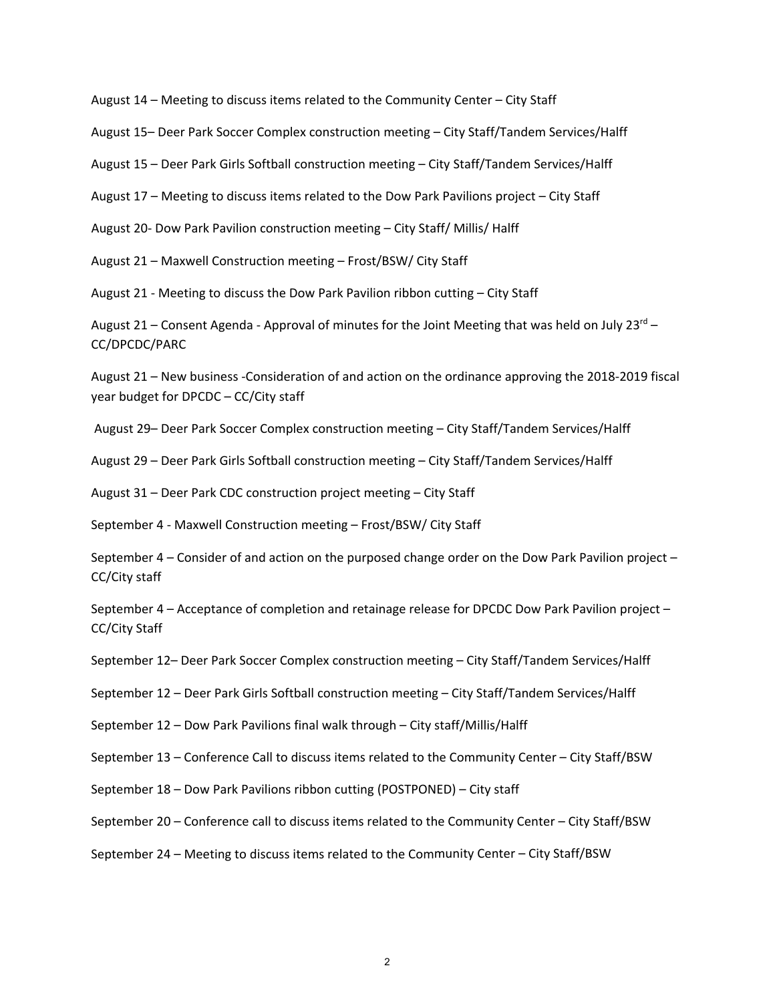August 14 – Meeting to discuss items related to the Community Center – City Staff

August 15– Deer Park Soccer Complex construction meeting – City Staff/Tandem Services/Halff

August 15 – Deer Park Girls Softball construction meeting – City Staff/Tandem Services/Halff

August 17 – Meeting to discuss items related to the Dow Park Pavilions project – City Staff

August 20‐ Dow Park Pavilion construction meeting – City Staff/ Millis/ Halff

August 21 – Maxwell Construction meeting – Frost/BSW/ City Staff

August 21 ‐ Meeting to discuss the Dow Park Pavilion ribbon cutting – City Staff

August 21 – Consent Agenda - Approval of minutes for the Joint Meeting that was held on July 23<sup>rd</sup> – CC/DPCDC/PARC

August 21 – New business ‐Consideration of and action on the ordinance approving the 2018‐2019 fiscal year budget for DPCDC – CC/City staff

August 29– Deer Park Soccer Complex construction meeting – City Staff/Tandem Services/Halff

August 29 – Deer Park Girls Softball construction meeting – City Staff/Tandem Services/Halff

August 31 – Deer Park CDC construction project meeting – City Staff

September 4 ‐ Maxwell Construction meeting – Frost/BSW/ City Staff

September 4 – Consider of and action on the purposed change order on the Dow Park Pavilion project – CC/City staff

September 4 – Acceptance of completion and retainage release for DPCDC Dow Park Pavilion project – CC/City Staff

September 12– Deer Park Soccer Complex construction meeting – City Staff/Tandem Services/Halff

September 12 – Deer Park Girls Softball construction meeting – City Staff/Tandem Services/Halff

September 12 – Dow Park Pavilions final walk through – City staff/Millis/Halff

September 13 – Conference Call to discuss items related to the Community Center – City Staff/BSW

September 18 – Dow Park Pavilions ribbon cutting (POSTPONED) – City staff

September 20 – Conference call to discuss items related to the Community Center – City Staff/BSW

September 24 – Meeting to discuss items related to the Community Center – City Staff/BSW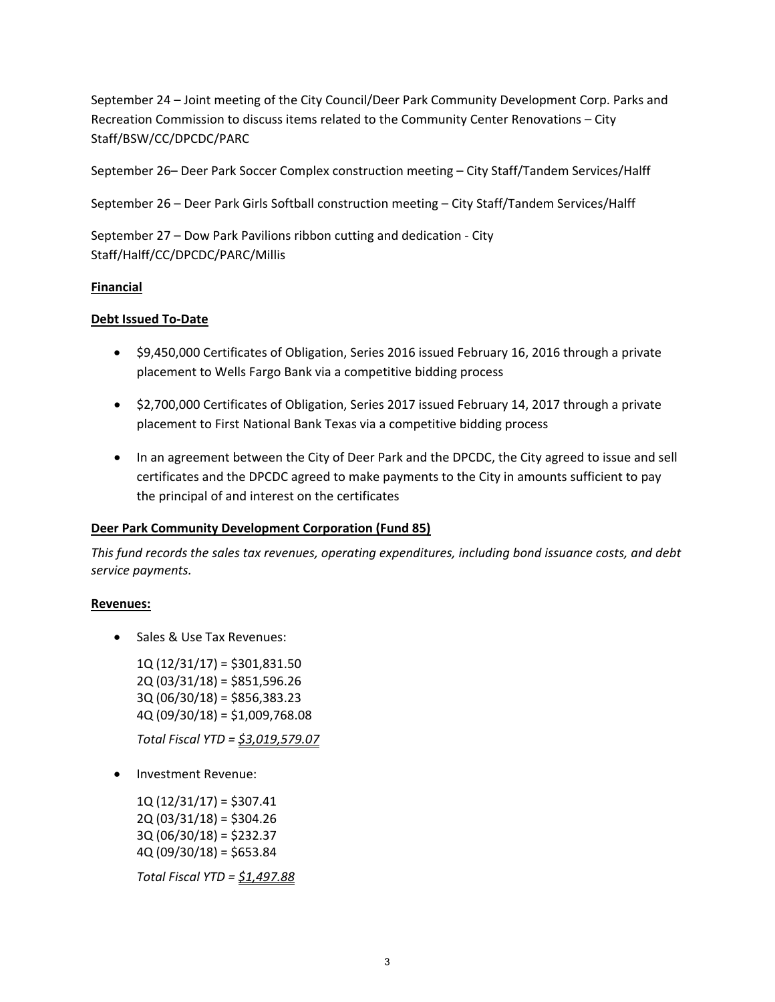September 24 – Joint meeting of the City Council/Deer Park Community Development Corp. Parks and Recreation Commission to discuss items related to the Community Center Renovations – City Staff/BSW/CC/DPCDC/PARC

September 26– Deer Park Soccer Complex construction meeting – City Staff/Tandem Services/Halff

September 26 – Deer Park Girls Softball construction meeting – City Staff/Tandem Services/Halff

September 27 – Dow Park Pavilions ribbon cutting and dedication ‐ City Staff/Halff/CC/DPCDC/PARC/Millis

## **Financial**

# **Debt Issued To‐Date**

- \$9,450,000 Certificates of Obligation, Series 2016 issued February 16, 2016 through a private placement to Wells Fargo Bank via a competitive bidding process
- \$2,700,000 Certificates of Obligation, Series 2017 issued February 14, 2017 through a private placement to First National Bank Texas via a competitive bidding process
- In an agreement between the City of Deer Park and the DPCDC, the City agreed to issue and sell certificates and the DPCDC agreed to make payments to the City in amounts sufficient to pay the principal of and interest on the certificates

# **Deer Park Community Development Corporation (Fund 85)**

*This fund records the sales tax revenues, operating expenditures, including bond issuance costs, and debt service payments.*

## **Revenues:**

• Sales & Use Tax Revenues:

1Q (12/31/17) = \$301,831.50 2Q (03/31/18) = \$851,596.26 3Q (06/30/18) = \$856,383.23 4Q (09/30/18) = \$1,009,768.08

*Total Fiscal YTD = \$3,019,579.07*

• Investment Revenue:

1Q (12/31/17) = \$307.41 2Q (03/31/18) = \$304.26 3Q (06/30/18) = \$232.37  $4Q (09/30/18) = $653.84$ 

*Total Fiscal YTD = \$1,497.88*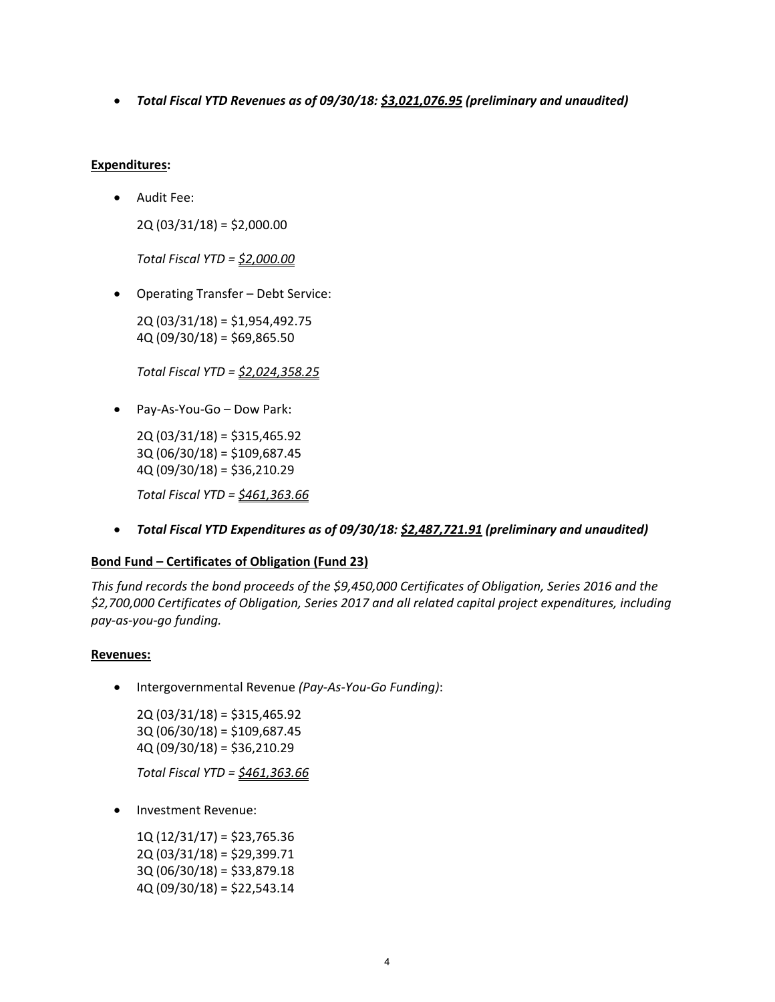*Total Fiscal YTD Revenues as of 09/30/18: \$3,021,076.95 (preliminary and unaudited)*

## **Expenditures:**

Audit Fee:

2Q (03/31/18) = \$2,000.00

*Total Fiscal YTD = \$2,000.00*

Operating Transfer – Debt Service:

2Q (03/31/18) = \$1,954,492.75 4Q (09/30/18) = \$69,865.50

*Total Fiscal YTD = \$2,024,358.25*

Pay‐As‐You‐Go – Dow Park:

2Q (03/31/18) = \$315,465.92 3Q (06/30/18) = \$109,687.45 4Q (09/30/18) = \$36,210.29

*Total Fiscal YTD = \$461,363.66*

*Total Fiscal YTD Expenditures as of 09/30/18: \$2,487,721.91 (preliminary and unaudited)*

# **Bond Fund – Certificates of Obligation (Fund 23)**

*This fund records the bond proceeds of the \$9,450,000 Certificates of Obligation, Series 2016 and the \$2,700,000 Certificates of Obligation, Series 2017 and all related capital project expenditures, including pay‐as‐you‐go funding.*

## **Revenues:**

Intergovernmental Revenue *(Pay‐As‐You‐Go Funding)*:

2Q (03/31/18) = \$315,465.92 3Q (06/30/18) = \$109,687.45 4Q (09/30/18) = \$36,210.29

*Total Fiscal YTD = \$461,363.66*

Investment Revenue:

 $1Q(12/31/17) = $23,765.36$ 2Q (03/31/18) = \$29,399.71 3Q (06/30/18) = \$33,879.18 4Q (09/30/18) = \$22,543.14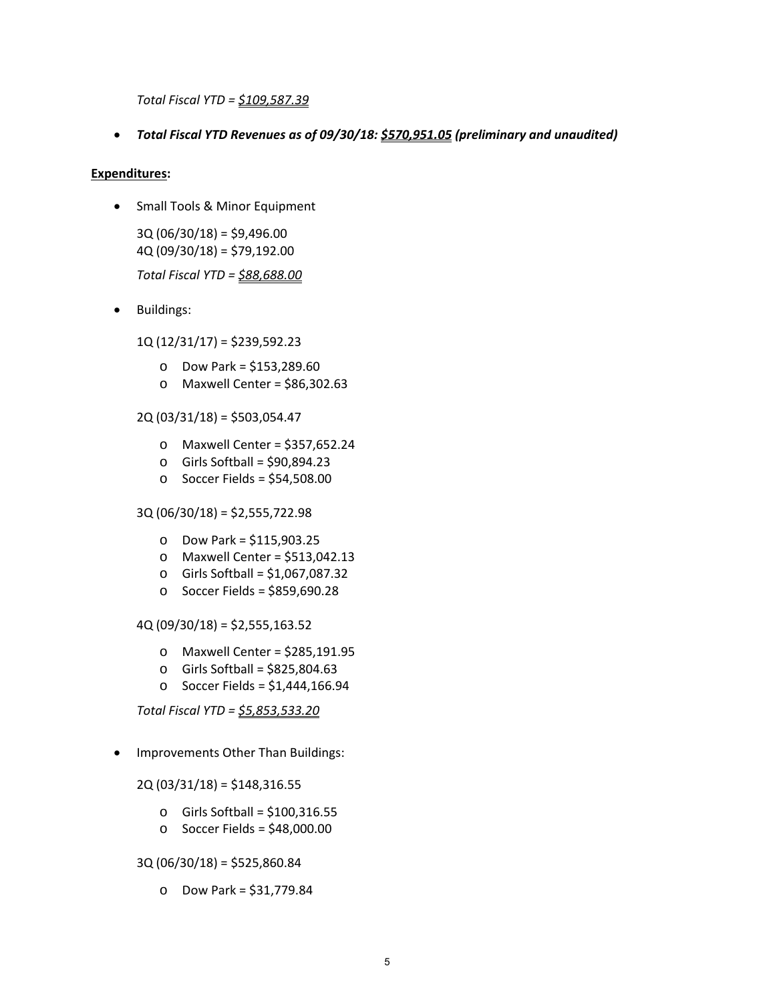*Total Fiscal YTD = \$109,587.39*

*Total Fiscal YTD Revenues as of 09/30/18: \$570,951.05 (preliminary and unaudited)*

## **Expenditures:**

• Small Tools & Minor Equipment

3Q (06/30/18) = \$9,496.00 4Q (09/30/18) = \$79,192.00 *Total Fiscal YTD = \$88,688.00*

• Buildings:

1Q (12/31/17) = \$239,592.23

- o Dow Park = \$153,289.60
- o Maxwell Center = \$86,302.63

2Q (03/31/18) = \$503,054.47

- o Maxwell Center = \$357,652.24
- $\circ$  Girls Softball = \$90,894.23
- o Soccer Fields = \$54,508.00

3Q (06/30/18) = \$2,555,722.98

- o Dow Park = \$115,903.25
- o Maxwell Center = \$513,042.13
- o Girls Softball = \$1,067,087.32
- o Soccer Fields = \$859,690.28

4Q (09/30/18) = \$2,555,163.52

- o Maxwell Center = \$285,191.95
- o Girls Softball = \$825,804.63
- o Soccer Fields = \$1,444,166.94

*Total Fiscal YTD = \$5,853,533.20*

• Improvements Other Than Buildings:

2Q (03/31/18) = \$148,316.55

- $\circ$  Girls Softball = \$100,316.55
- o Soccer Fields = \$48,000.00

3Q (06/30/18) = \$525,860.84

o Dow Park = \$31,779.84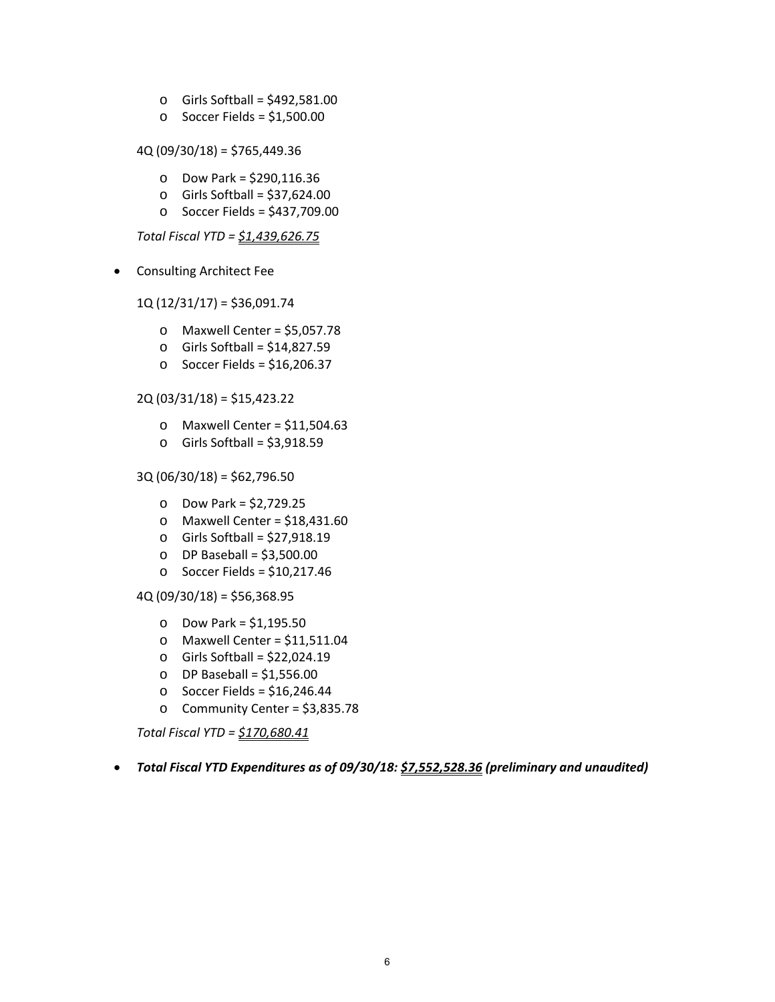- $\circ$  Girls Softball = \$492,581.00
- $\circ$  Soccer Fields = \$1,500.00

4Q (09/30/18) = \$765,449.36

- o Dow Park = \$290,116.36
- $\circ$  Girls Softball = \$37,624.00
- o Soccer Fields = \$437,709.00

*Total Fiscal YTD = \$1,439,626.75*

Consulting Architect Fee

1Q (12/31/17) = \$36,091.74

- $\circ$  Maxwell Center = \$5,057.78
- o Girls Softball = \$14,827.59
- o Soccer Fields = \$16,206.37

2Q (03/31/18) = \$15,423.22

- o Maxwell Center = \$11,504.63
- $\circ$  Girls Softball = \$3,918.59

3Q (06/30/18) = \$62,796.50

- o Dow Park = \$2,729.25
- $O$  Maxwell Center = \$18,431.60
- o Girls Softball = \$27,918.19
- $O$  DP Baseball = \$3,500.00
- $\circ$  Soccer Fields = \$10,217.46

 $4Q (09/30/18) = $56,368.95$ 

- o Dow Park = \$1,195.50
- $\circ$  Maxwell Center = \$11,511.04
- o Girls Softball = \$22,024.19
- $O$  DP Baseball = \$1,556.00
- $\circ$  Soccer Fields = \$16,246.44
- o Community Center = \$3,835.78

*Total Fiscal YTD = \$170,680.41*

*Total Fiscal YTD Expenditures as of 09/30/18: \$7,552,528.36 (preliminary and unaudited)*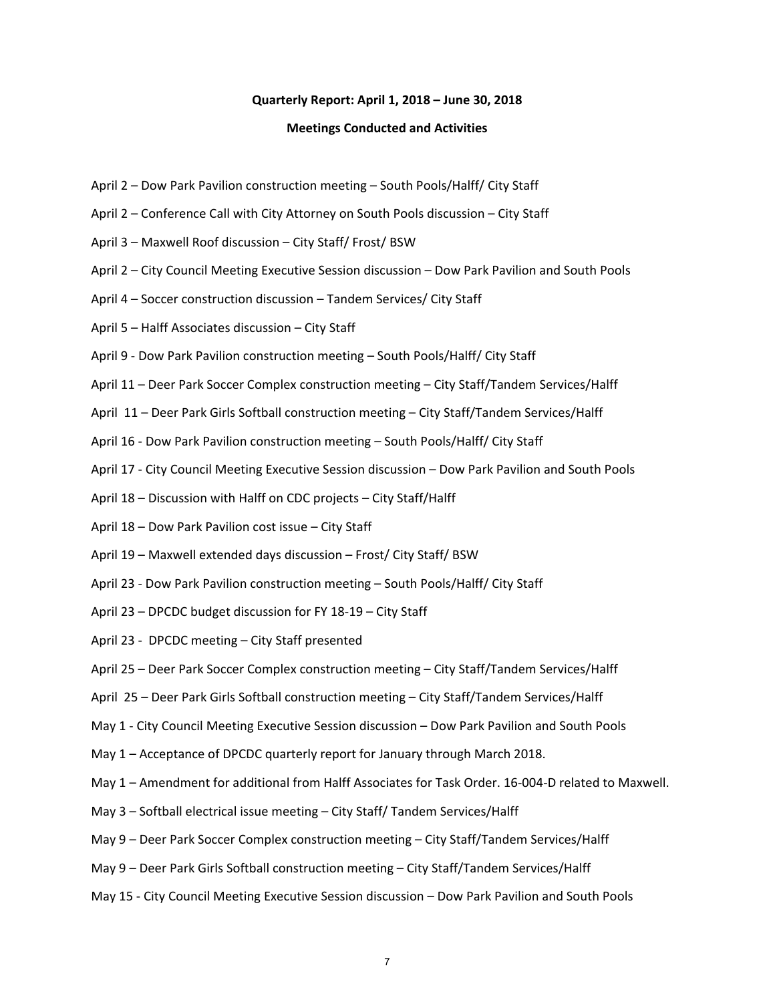#### **Quarterly Report: April 1, 2018 – June 30, 2018**

#### **Meetings Conducted and Activities**

- April 2 Dow Park Pavilion construction meeting South Pools/Halff/ City Staff
- April 2 Conference Call with City Attorney on South Pools discussion City Staff
- April 3 Maxwell Roof discussion City Staff/ Frost/ BSW
- April 2 City Council Meeting Executive Session discussion Dow Park Pavilion and South Pools
- April 4 Soccer construction discussion Tandem Services/ City Staff
- April 5 Halff Associates discussion City Staff
- April 9 ‐ Dow Park Pavilion construction meeting South Pools/Halff/ City Staff
- April 11 Deer Park Soccer Complex construction meeting City Staff/Tandem Services/Halff
- April 11 Deer Park Girls Softball construction meeting City Staff/Tandem Services/Halff
- April 16 ‐ Dow Park Pavilion construction meeting South Pools/Halff/ City Staff
- April 17 ‐ City Council Meeting Executive Session discussion Dow Park Pavilion and South Pools
- April 18 Discussion with Halff on CDC projects City Staff/Halff
- April 18 Dow Park Pavilion cost issue City Staff
- April 19 Maxwell extended days discussion Frost/ City Staff/ BSW
- April 23 ‐ Dow Park Pavilion construction meeting South Pools/Halff/ City Staff
- April 23 DPCDC budget discussion for FY 18‐19 City Staff
- April 23 ‐ DPCDC meeting City Staff presented
- April 25 Deer Park Soccer Complex construction meeting City Staff/Tandem Services/Halff
- April 25 Deer Park Girls Softball construction meeting City Staff/Tandem Services/Halff
- May 1 City Council Meeting Executive Session discussion Dow Park Pavilion and South Pools
- May 1 Acceptance of DPCDC quarterly report for January through March 2018.
- May 1 Amendment for additional from Halff Associates for Task Order. 16‐004‐D related to Maxwell.
- May 3 Softball electrical issue meeting City Staff/ Tandem Services/Halff
- May 9 Deer Park Soccer Complex construction meeting City Staff/Tandem Services/Halff
- May 9 Deer Park Girls Softball construction meeting City Staff/Tandem Services/Halff
- May 15 ‐ City Council Meeting Executive Session discussion Dow Park Pavilion and South Pools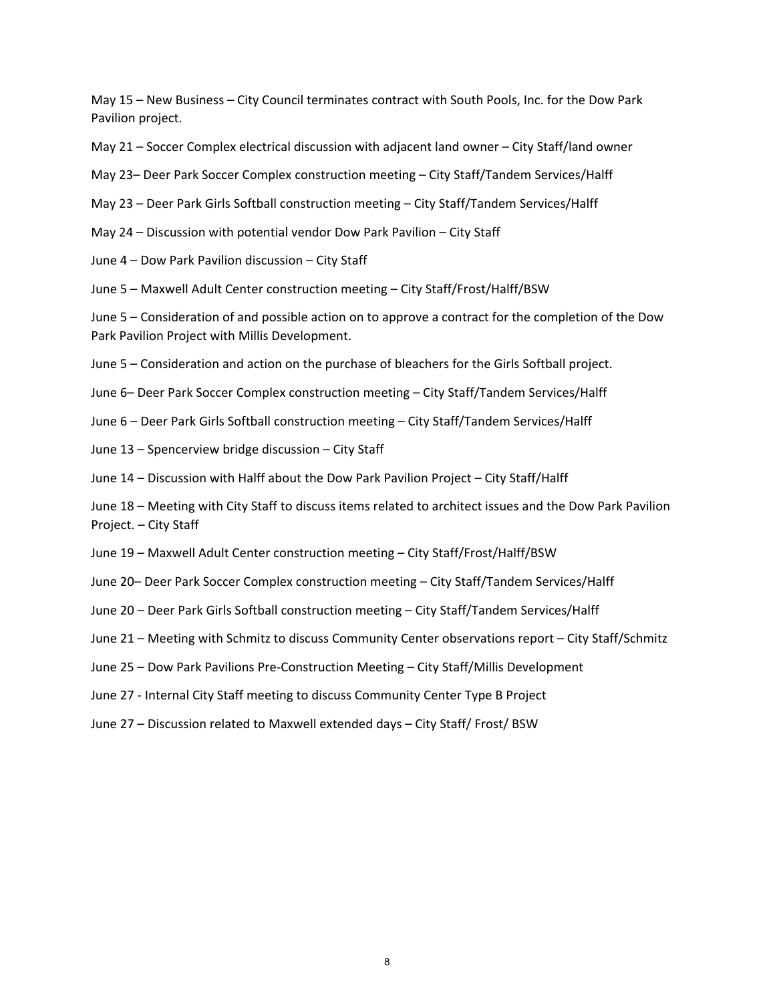May 15 – New Business – City Council terminates contract with South Pools, Inc. for the Dow Park Pavilion project.

- May 21 Soccer Complex electrical discussion with adjacent land owner City Staff/land owner
- May 23– Deer Park Soccer Complex construction meeting City Staff/Tandem Services/Halff
- May 23 Deer Park Girls Softball construction meeting City Staff/Tandem Services/Halff
- May 24 Discussion with potential vendor Dow Park Pavilion City Staff
- June 4 Dow Park Pavilion discussion City Staff
- June 5 Maxwell Adult Center construction meeting City Staff/Frost/Halff/BSW

June 5 – Consideration of and possible action on to approve a contract for the completion of the Dow Park Pavilion Project with Millis Development.

- June 5 Consideration and action on the purchase of bleachers for the Girls Softball project.
- June 6– Deer Park Soccer Complex construction meeting City Staff/Tandem Services/Halff
- June 6 Deer Park Girls Softball construction meeting City Staff/Tandem Services/Halff
- June 13 Spencerview bridge discussion City Staff
- June 14 Discussion with Halff about the Dow Park Pavilion Project City Staff/Halff
- June 18 Meeting with City Staff to discuss items related to architect issues and the Dow Park Pavilion Project. – City Staff
- June 19 Maxwell Adult Center construction meeting City Staff/Frost/Halff/BSW
- June 20– Deer Park Soccer Complex construction meeting City Staff/Tandem Services/Halff
- June 20 Deer Park Girls Softball construction meeting City Staff/Tandem Services/Halff
- June 21 Meeting with Schmitz to discuss Community Center observations report City Staff/Schmitz
- June 25 Dow Park Pavilions Pre‐Construction Meeting City Staff/Millis Development
- June 27 ‐ Internal City Staff meeting to discuss Community Center Type B Project
- June 27 Discussion related to Maxwell extended days City Staff/ Frost/ BSW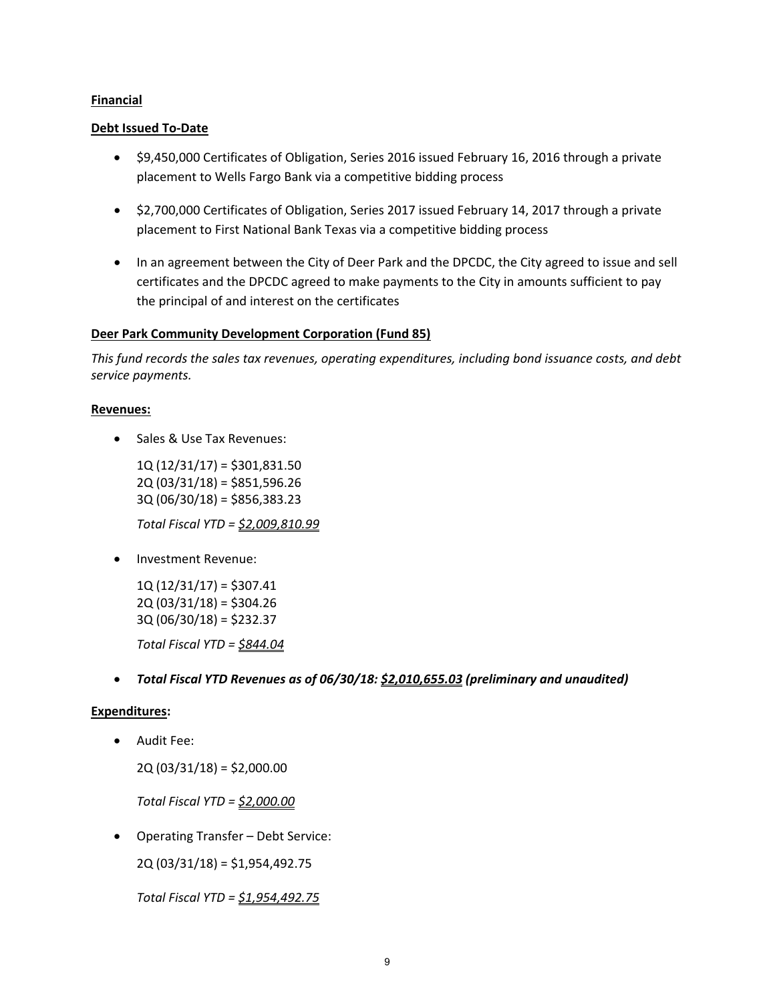## **Financial**

## **Debt Issued To‐Date**

- \$9,450,000 Certificates of Obligation, Series 2016 issued February 16, 2016 through a private placement to Wells Fargo Bank via a competitive bidding process
- \$2,700,000 Certificates of Obligation, Series 2017 issued February 14, 2017 through a private placement to First National Bank Texas via a competitive bidding process
- In an agreement between the City of Deer Park and the DPCDC, the City agreed to issue and sell certificates and the DPCDC agreed to make payments to the City in amounts sufficient to pay the principal of and interest on the certificates

## **Deer Park Community Development Corporation (Fund 85)**

*This fund records the sales tax revenues, operating expenditures, including bond issuance costs, and debt service payments.*

## **Revenues:**

• Sales & Use Tax Revenues:

1Q (12/31/17) = \$301,831.50 2Q (03/31/18) = \$851,596.26 3Q (06/30/18) = \$856,383.23

*Total Fiscal YTD = \$2,009,810.99*

• Investment Revenue:

 $1Q(12/31/17) = $307.41$ 2Q (03/31/18) = \$304.26 3Q (06/30/18) = \$232.37 *Total Fiscal YTD = \$844.04*

*Total Fiscal YTD Revenues as of 06/30/18: \$2,010,655.03 (preliminary and unaudited)*

## **Expenditures:**

Audit Fee:

2Q (03/31/18) = \$2,000.00

*Total Fiscal YTD = \$2,000.00*

Operating Transfer – Debt Service:

2Q (03/31/18) = \$1,954,492.75

*Total Fiscal YTD = \$1,954,492.75*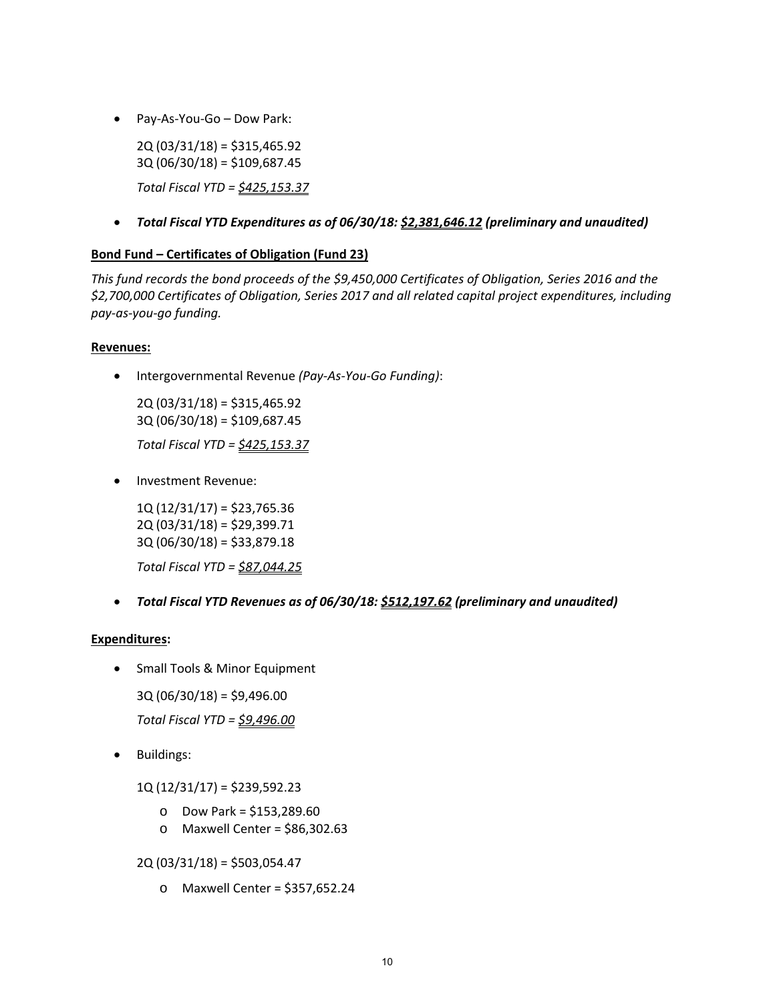Pay‐As‐You‐Go – Dow Park:

2Q (03/31/18) = \$315,465.92 3Q (06/30/18) = \$109,687.45 *Total Fiscal YTD = \$425,153.37*

*Total Fiscal YTD Expenditures as of 06/30/18: \$2,381,646.12 (preliminary and unaudited)*

# **Bond Fund – Certificates of Obligation (Fund 23)**

*This fund records the bond proceeds of the \$9,450,000 Certificates of Obligation, Series 2016 and the \$2,700,000 Certificates of Obligation, Series 2017 and all related capital project expenditures, including pay‐as‐you‐go funding.*

## **Revenues:**

Intergovernmental Revenue *(Pay‐As‐You‐Go Funding)*:

2Q (03/31/18) = \$315,465.92 3Q (06/30/18) = \$109,687.45 *Total Fiscal YTD = \$425,153.37*

• Investment Revenue:

1Q (12/31/17) = \$23,765.36 2Q (03/31/18) = \$29,399.71 3Q (06/30/18) = \$33,879.18

*Total Fiscal YTD = \$87,044.25*

*Total Fiscal YTD Revenues as of 06/30/18: \$512,197.62 (preliminary and unaudited)*

## **Expenditures:**

- Small Tools & Minor Equipment
	- 3Q (06/30/18) = \$9,496.00

*Total Fiscal YTD = \$9,496.00*

• Buildings:

1Q (12/31/17) = \$239,592.23

- o Dow Park = \$153,289.60
- o Maxwell Center = \$86,302.63

2Q (03/31/18) = \$503,054.47

o Maxwell Center = \$357,652.24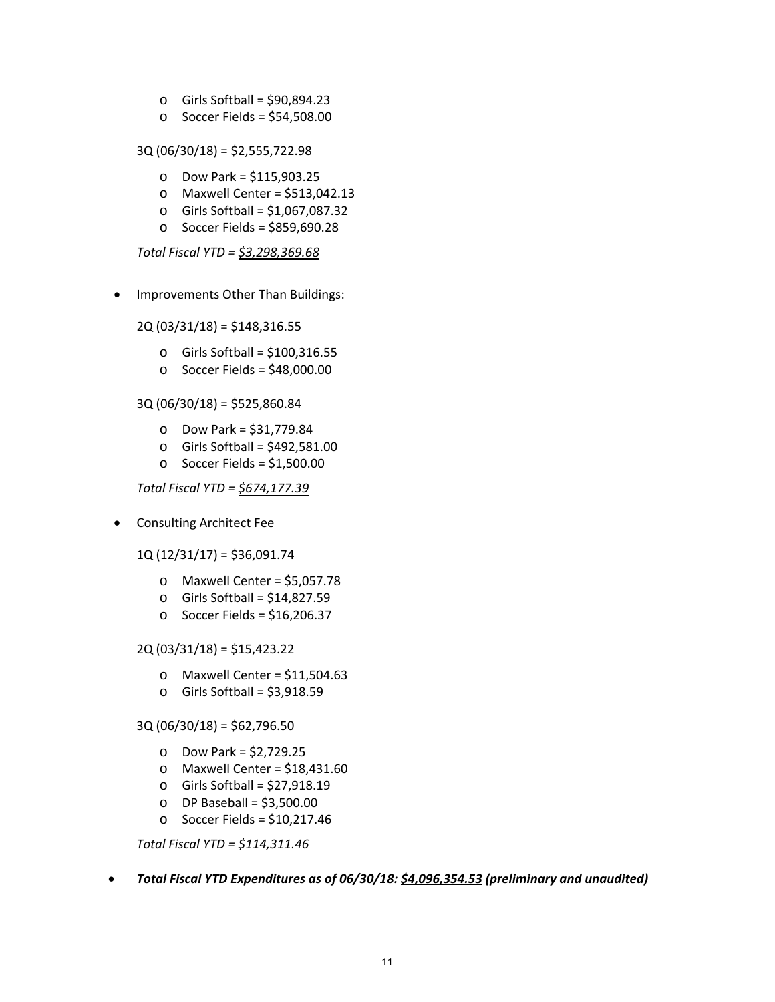- o Girls Softball = \$90,894.23
- $\circ$  Soccer Fields = \$54,508.00

3Q (06/30/18) = \$2,555,722.98

- o Dow Park = \$115,903.25
- o Maxwell Center = \$513,042.13
- $\circ$  Girls Softball = \$1,067,087.32
- o Soccer Fields = \$859,690.28

*Total Fiscal YTD = \$3,298,369.68*

• Improvements Other Than Buildings:

2Q (03/31/18) = \$148,316.55

- o Girls Softball = \$100,316.55
- $\circ$  Soccer Fields = \$48,000.00

## 3Q (06/30/18) = \$525,860.84

- o Dow Park = \$31,779.84
- $\circ$  Girls Softball = \$492,581.00
- o Soccer Fields = \$1,500.00

*Total Fiscal YTD = \$674,177.39*

• Consulting Architect Fee

1Q (12/31/17) = \$36,091.74

- $\circ$  Maxwell Center = \$5,057.78
- o Girls Softball = \$14,827.59
- o Soccer Fields = \$16,206.37

#### 2Q (03/31/18) = \$15,423.22

- $\circ$  Maxwell Center = \$11,504.63
- $\circ$  Girls Softball = \$3,918.59

## 3Q (06/30/18) = \$62,796.50

- o Dow Park = \$2,729.25
- $\circ$  Maxwell Center = \$18,431.60
- o Girls Softball = \$27,918.19
- $O$  DP Baseball = \$3,500.00
- o Soccer Fields = \$10,217.46

*Total Fiscal YTD = \$114,311.46*

*Total Fiscal YTD Expenditures as of 06/30/18: \$4,096,354.53 (preliminary and unaudited)*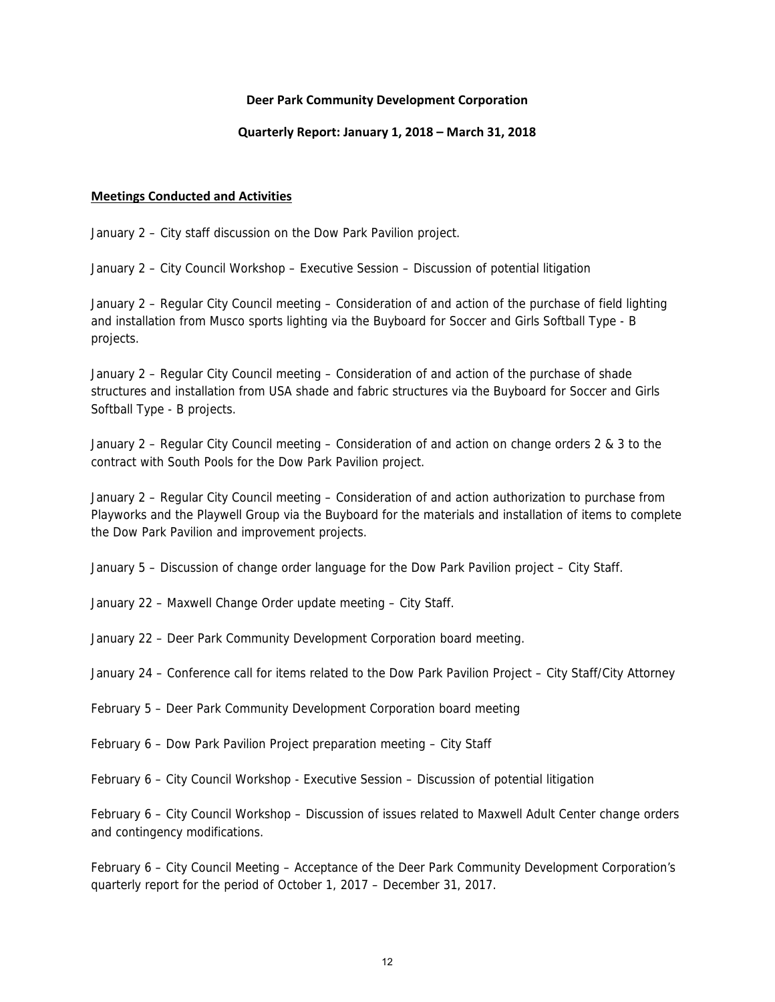## **Deer Park Community Development Corporation**

## **Quarterly Report: January 1, 2018 – March 31, 2018**

## **Meetings Conducted and Activities**

January 2 – City staff discussion on the Dow Park Pavilion project.

January 2 – City Council Workshop – Executive Session – Discussion of potential litigation

January 2 – Regular City Council meeting – Consideration of and action of the purchase of field lighting and installation from Musco sports lighting via the Buyboard for Soccer and Girls Softball Type - B projects.

January 2 – Regular City Council meeting – Consideration of and action of the purchase of shade structures and installation from USA shade and fabric structures via the Buyboard for Soccer and Girls Softball Type - B projects.

January 2 – Regular City Council meeting – Consideration of and action on change orders 2 & 3 to the contract with South Pools for the Dow Park Pavilion project.

January 2 – Regular City Council meeting – Consideration of and action authorization to purchase from Playworks and the Playwell Group via the Buyboard for the materials and installation of items to complete the Dow Park Pavilion and improvement projects.

January 5 – Discussion of change order language for the Dow Park Pavilion project – City Staff.

January 22 – Maxwell Change Order update meeting – City Staff.

January 22 – Deer Park Community Development Corporation board meeting.

January 24 – Conference call for items related to the Dow Park Pavilion Project – City Staff/City Attorney

February 5 – Deer Park Community Development Corporation board meeting

February 6 – Dow Park Pavilion Project preparation meeting – City Staff

February 6 – City Council Workshop - Executive Session – Discussion of potential litigation

February 6 – City Council Workshop – Discussion of issues related to Maxwell Adult Center change orders and contingency modifications.

February 6 – City Council Meeting – Acceptance of the Deer Park Community Development Corporation's quarterly report for the period of October 1, 2017 – December 31, 2017.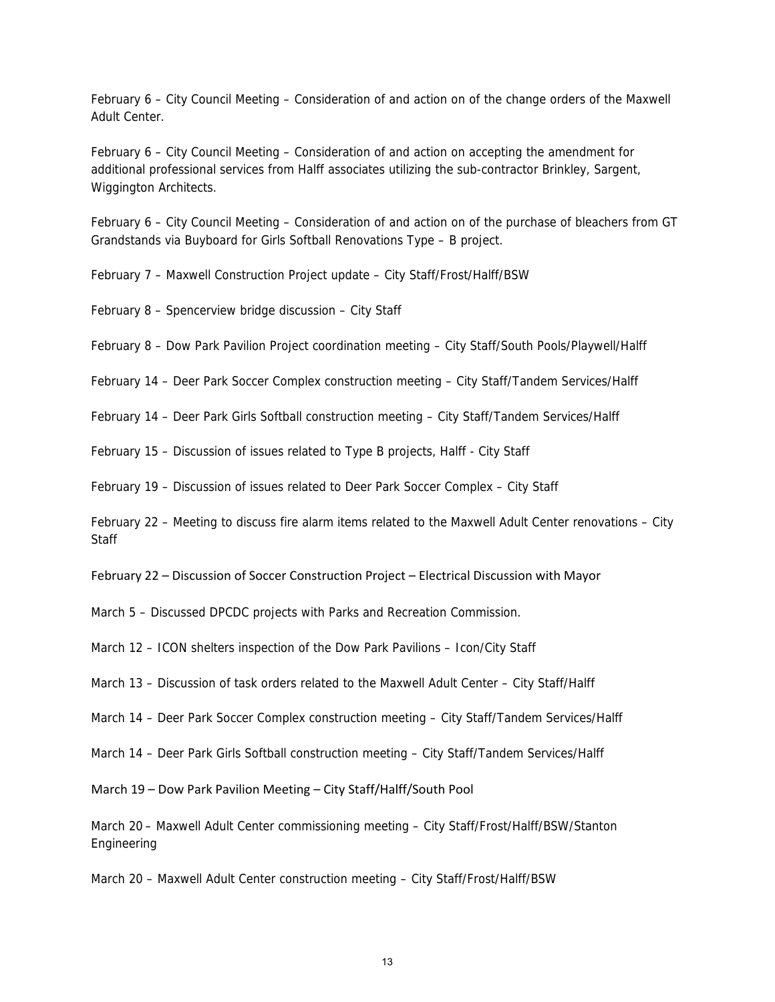February 6 – City Council Meeting – Consideration of and action on of the change orders of the Maxwell Adult Center.

February 6 – City Council Meeting – Consideration of and action on accepting the amendment for additional professional services from Halff associates utilizing the sub-contractor Brinkley, Sargent, Wiggington Architects.

February 6 – City Council Meeting – Consideration of and action on of the purchase of bleachers from GT Grandstands via Buyboard for Girls Softball Renovations Type – B project.

February 7 – Maxwell Construction Project update – City Staff/Frost/Halff/BSW

February 8 – Spencerview bridge discussion – City Staff

February 8 – Dow Park Pavilion Project coordination meeting – City Staff/South Pools/Playwell/Halff

February 14 – Deer Park Soccer Complex construction meeting – City Staff/Tandem Services/Halff

February 14 – Deer Park Girls Softball construction meeting – City Staff/Tandem Services/Halff

February 15 – Discussion of issues related to Type B projects, Halff - City Staff

February 19 – Discussion of issues related to Deer Park Soccer Complex – City Staff

February 22 – Meeting to discuss fire alarm items related to the Maxwell Adult Center renovations – City **Staff** 

February 22 – Discussion of Soccer Construction Project – Electrical Discussion with Mayor

March 5 – Discussed DPCDC projects with Parks and Recreation Commission.

March 12 – ICON shelters inspection of the Dow Park Pavilions – Icon/City Staff

March 13 – Discussion of task orders related to the Maxwell Adult Center – City Staff/Halff

March 14 – Deer Park Soccer Complex construction meeting – City Staff/Tandem Services/Halff

March 14 – Deer Park Girls Softball construction meeting – City Staff/Tandem Services/Halff

March 19 – Dow Park Pavilion Meeting – City Staff/Halff/South Pool

March 20 – Maxwell Adult Center commissioning meeting – City Staff/Frost/Halff/BSW/Stanton Engineering

March 20 – Maxwell Adult Center construction meeting – City Staff/Frost/Halff/BSW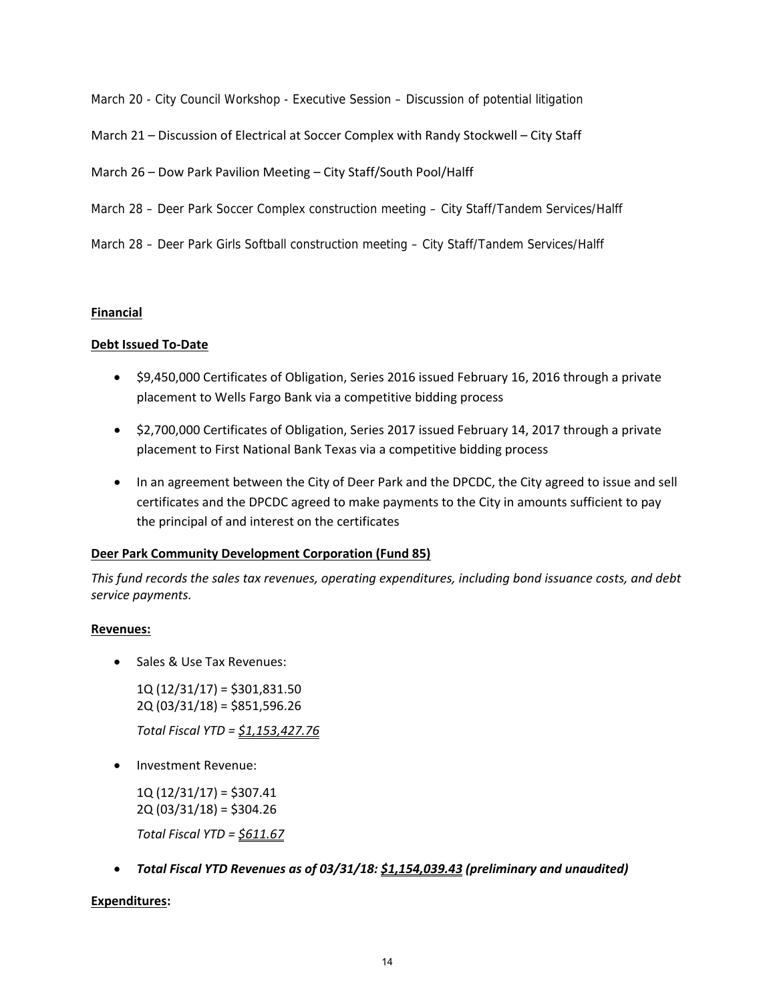March 20 - City Council Workshop - Executive Session – Discussion of potential litigation

March 21 – Discussion of Electrical at Soccer Complex with Randy Stockwell – City Staff

March 26 – Dow Park Pavilion Meeting – City Staff/South Pool/Halff

- March 28 Deer Park Soccer Complex construction meeting City Staff/Tandem Services/Halff
- March 28 Deer Park Girls Softball construction meeting City Staff/Tandem Services/Halff

## **Financial**

## **Debt Issued To‐Date**

- \$9,450,000 Certificates of Obligation, Series 2016 issued February 16, 2016 through a private placement to Wells Fargo Bank via a competitive bidding process
- \$2,700,000 Certificates of Obligation, Series 2017 issued February 14, 2017 through a private placement to First National Bank Texas via a competitive bidding process
- In an agreement between the City of Deer Park and the DPCDC, the City agreed to issue and sell certificates and the DPCDC agreed to make payments to the City in amounts sufficient to pay the principal of and interest on the certificates

## **Deer Park Community Development Corporation (Fund 85)**

*This fund records the sales tax revenues, operating expenditures, including bond issuance costs, and debt service payments.*

## **Revenues:**

• Sales & Use Tax Revenues:

1Q (12/31/17) = \$301,831.50 2Q (03/31/18) = \$851,596.26

*Total Fiscal YTD = \$1,153,427.76*

• Investment Revenue:

1Q (12/31/17) = \$307.41 2Q (03/31/18) = \$304.26

*Total Fiscal YTD = \$611.67*

*Total Fiscal YTD Revenues as of 03/31/18: \$1,154,039.43 (preliminary and unaudited)*

## **Expenditures:**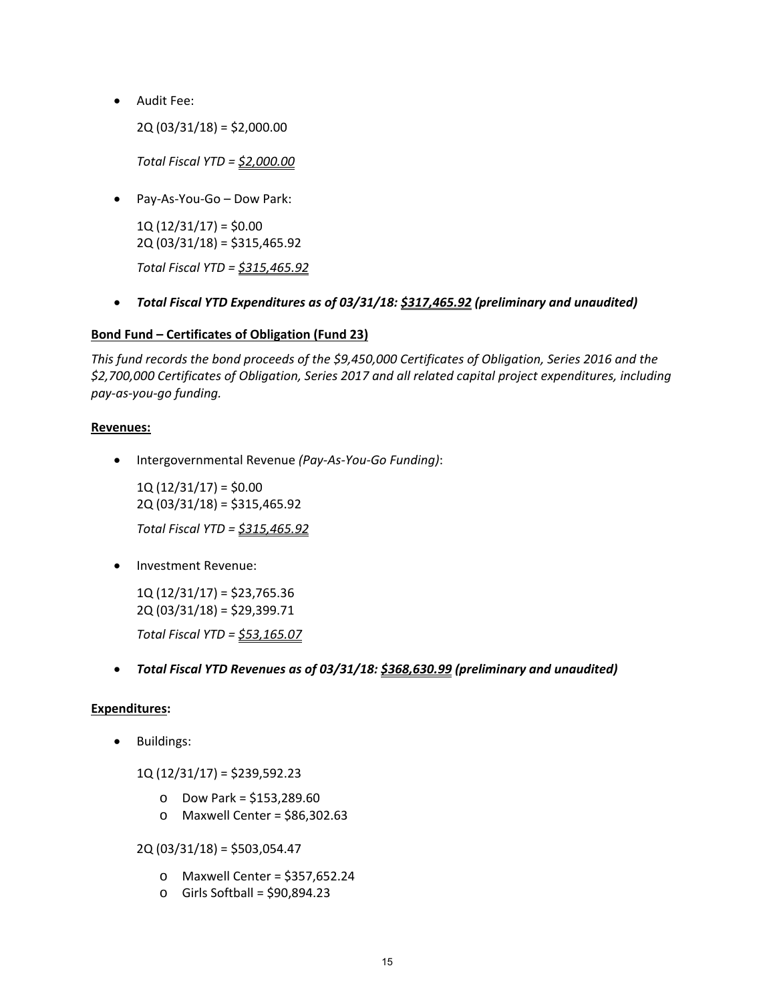Audit Fee:

2Q (03/31/18) = \$2,000.00

*Total Fiscal YTD = \$2,000.00*

Pay‐As‐You‐Go – Dow Park:

 $1Q(12/31/17) = $0.00$ 2Q (03/31/18) = \$315,465.92

*Total Fiscal YTD = \$315,465.92*

*Total Fiscal YTD Expenditures as of 03/31/18: \$317,465.92 (preliminary and unaudited)*

# **Bond Fund – Certificates of Obligation (Fund 23)**

*This fund records the bond proceeds of the \$9,450,000 Certificates of Obligation, Series 2016 and the \$2,700,000 Certificates of Obligation, Series 2017 and all related capital project expenditures, including pay‐as‐you‐go funding.*

## **Revenues:**

Intergovernmental Revenue *(Pay‐As‐You‐Go Funding)*:

 $1Q(12/31/17) = $0.00$ 2Q (03/31/18) = \$315,465.92 *Total Fiscal YTD = \$315,465.92*

Investment Revenue:

1Q (12/31/17) = \$23,765.36 2Q (03/31/18) = \$29,399.71 *Total Fiscal YTD = \$53,165.07*

*Total Fiscal YTD Revenues as of 03/31/18: \$368,630.99 (preliminary and unaudited)*

## **Expenditures:**

• Buildings:

1Q (12/31/17) = \$239,592.23

- o Dow Park = \$153,289.60
- o Maxwell Center = \$86,302.63

2Q (03/31/18) = \$503,054.47

- o Maxwell Center = \$357,652.24
- $\circ$  Girls Softball = \$90,894.23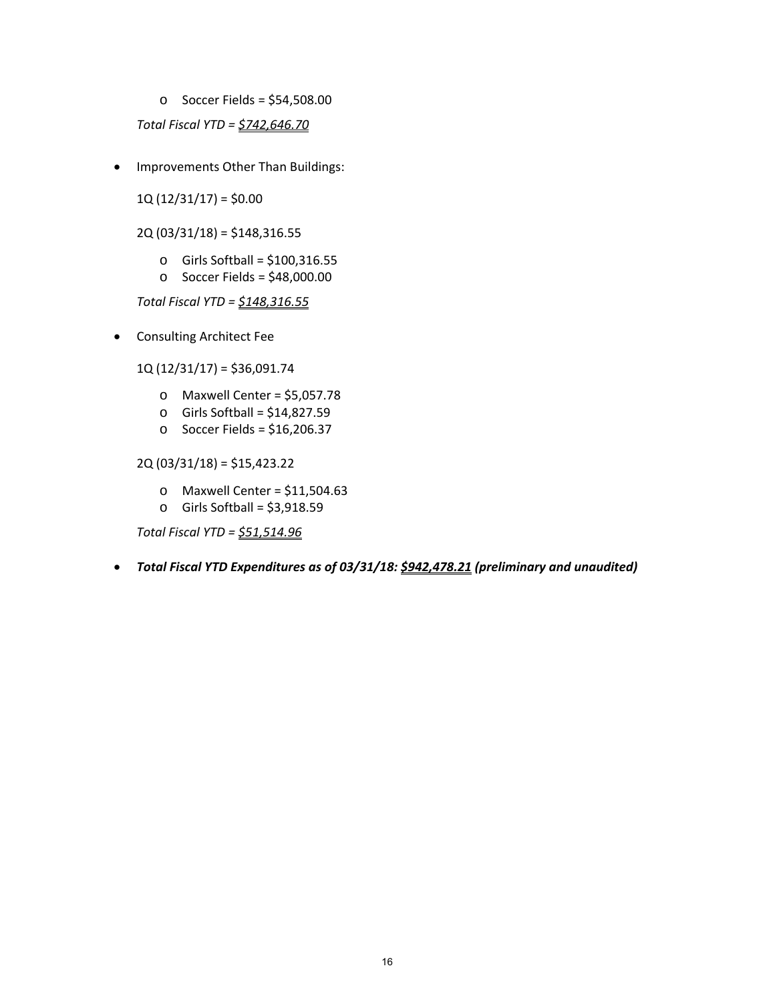o Soccer Fields = \$54,508.00

*Total Fiscal YTD = \$742,646.70*

• Improvements Other Than Buildings:

 $1Q(12/31/17) = $0.00$ 

2Q (03/31/18) = \$148,316.55

- $\circ$  Girls Softball = \$100,316.55
- $\circ$  Soccer Fields = \$48,000.00

*Total Fiscal YTD = \$148,316.55*

Consulting Architect Fee

1Q (12/31/17) = \$36,091.74

- o Maxwell Center = \$5,057.78
- o Girls Softball = \$14,827.59
- $\circ$  Soccer Fields = \$16,206.37

2Q (03/31/18) = \$15,423.22

- $\circ$  Maxwell Center = \$11,504.63
- $\circ$  Girls Softball = \$3,918.59

*Total Fiscal YTD = \$51,514.96*

*Total Fiscal YTD Expenditures as of 03/31/18: \$942,478.21 (preliminary and unaudited)*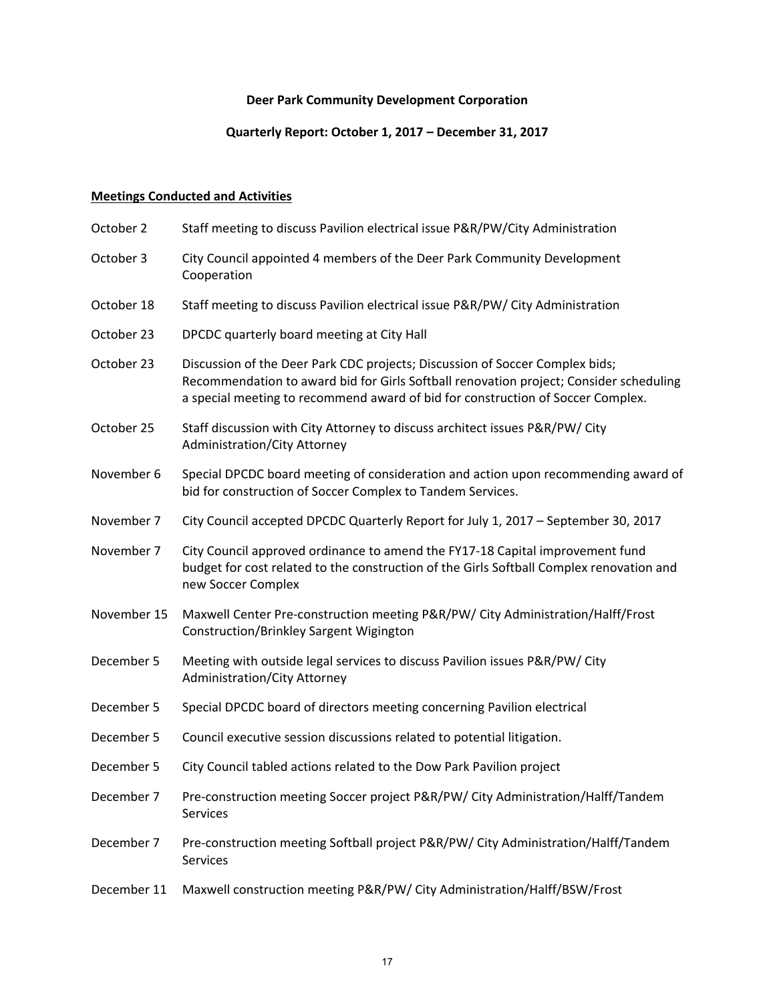# **Deer Park Community Development Corporation**

# **Quarterly Report: October 1, 2017 – December 31, 2017**

# **Meetings Conducted and Activities**

| City Council appointed 4 members of the Deer Park Community Development<br>Cooperation<br>Staff meeting to discuss Pavilion electrical issue P&R/PW/ City Administration                                                                                  |
|-----------------------------------------------------------------------------------------------------------------------------------------------------------------------------------------------------------------------------------------------------------|
|                                                                                                                                                                                                                                                           |
|                                                                                                                                                                                                                                                           |
| DPCDC quarterly board meeting at City Hall                                                                                                                                                                                                                |
| Discussion of the Deer Park CDC projects; Discussion of Soccer Complex bids;<br>Recommendation to award bid for Girls Softball renovation project; Consider scheduling<br>a special meeting to recommend award of bid for construction of Soccer Complex. |
| Staff discussion with City Attorney to discuss architect issues P&R/PW/ City<br>Administration/City Attorney                                                                                                                                              |
| Special DPCDC board meeting of consideration and action upon recommending award of<br>bid for construction of Soccer Complex to Tandem Services.                                                                                                          |
| City Council accepted DPCDC Quarterly Report for July 1, 2017 - September 30, 2017                                                                                                                                                                        |
| City Council approved ordinance to amend the FY17-18 Capital improvement fund<br>budget for cost related to the construction of the Girls Softball Complex renovation and<br>new Soccer Complex                                                           |
| Maxwell Center Pre-construction meeting P&R/PW/ City Administration/Halff/Frost<br>Construction/Brinkley Sargent Wigington                                                                                                                                |
| Meeting with outside legal services to discuss Pavilion issues P&R/PW/ City<br>Administration/City Attorney                                                                                                                                               |
| Special DPCDC board of directors meeting concerning Pavilion electrical                                                                                                                                                                                   |
| Council executive session discussions related to potential litigation.                                                                                                                                                                                    |
| City Council tabled actions related to the Dow Park Pavilion project                                                                                                                                                                                      |
| Pre-construction meeting Soccer project P&R/PW/ City Administration/Halff/Tandem<br>Services                                                                                                                                                              |
| Pre-construction meeting Softball project P&R/PW/ City Administration/Halff/Tandem<br>Services                                                                                                                                                            |
| Maxwell construction meeting P&R/PW/ City Administration/Halff/BSW/Frost                                                                                                                                                                                  |
|                                                                                                                                                                                                                                                           |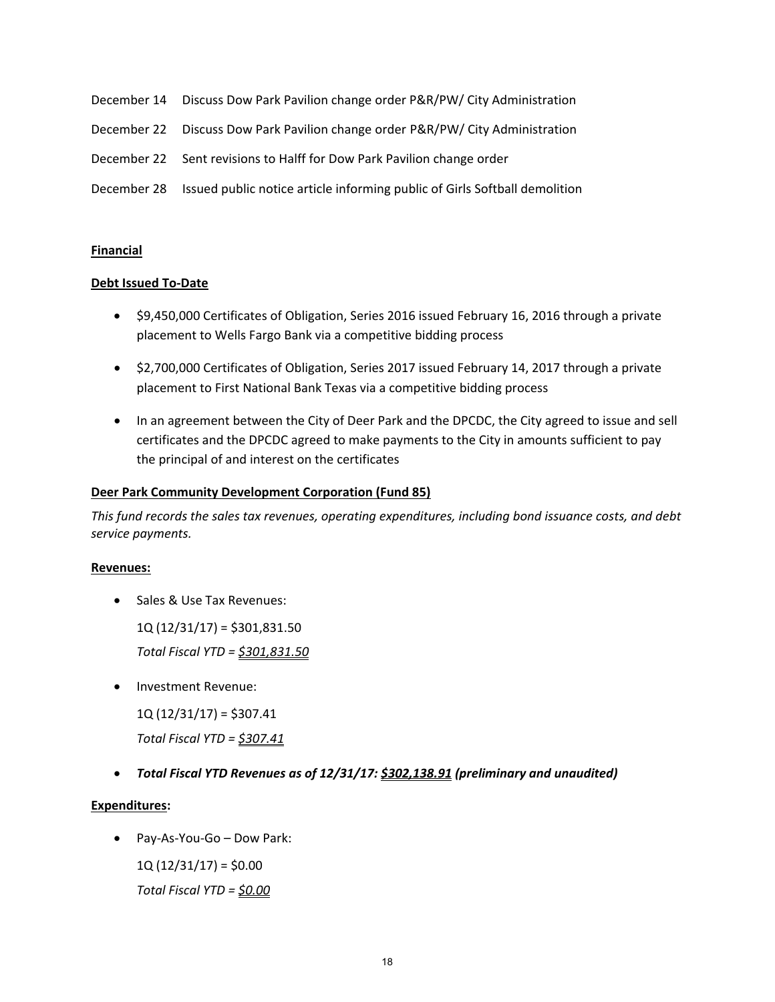- December 14 Discuss Dow Park Pavilion change order P&R/PW/ City Administration
- December 22 Discuss Dow Park Pavilion change order P&R/PW/ City Administration
- December 22 Sent revisions to Halff for Dow Park Pavilion change order
- December 28 Issued public notice article informing public of Girls Softball demolition

#### **Financial**

#### **Debt Issued To‐Date**

- \$9,450,000 Certificates of Obligation, Series 2016 issued February 16, 2016 through a private placement to Wells Fargo Bank via a competitive bidding process
- \$2,700,000 Certificates of Obligation, Series 2017 issued February 14, 2017 through a private placement to First National Bank Texas via a competitive bidding process
- In an agreement between the City of Deer Park and the DPCDC, the City agreed to issue and sell certificates and the DPCDC agreed to make payments to the City in amounts sufficient to pay the principal of and interest on the certificates

#### **Deer Park Community Development Corporation (Fund 85)**

*This fund records the sales tax revenues, operating expenditures, including bond issuance costs, and debt service payments.*

#### **Revenues:**

• Sales & Use Tax Revenues:

1Q (12/31/17) = \$301,831.50

*Total Fiscal YTD = \$301,831.50*

Investment Revenue:

 $1Q(12/31/17) = $307.41$ 

*Total Fiscal YTD = \$307.41*

*Total Fiscal YTD Revenues as of 12/31/17: \$302,138.91 (preliminary and unaudited)*

#### **Expenditures:**

Pay‐As‐You‐Go – Dow Park:

 $1Q(12/31/17) = $0.00$ 

*Total Fiscal YTD = \$0.00*